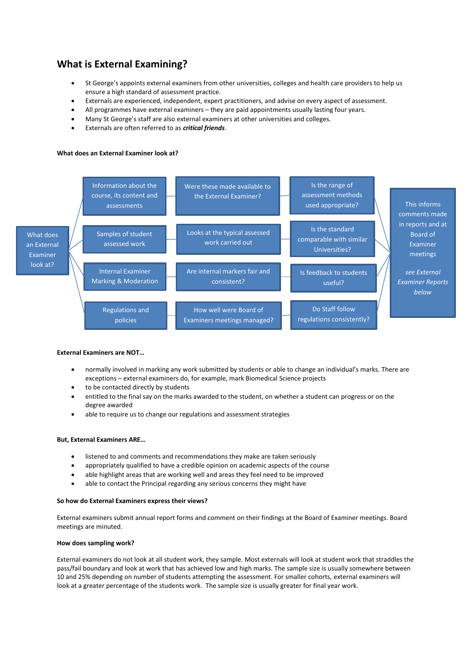# **What is External Examining?**

- St George's appoints external examiners from other universities, colleges and health care providers to help us ensure a high standard of assessment practice.
- Externals are experienced, independent, expert practitioners, and advise on every aspect of assessment.
- All programmes have external examiners they are paid appointments usually lasting four years.
- Many St George's staff are also external examiners at other universities and colleges.
- Externals are often referred to as *critical friends*.

### **What does an External Examiner look at?**



#### **External Examiners are NOT…**

- normally involved in marking any work submitted by students or able to change an individual's marks. There are exceptions – external examiners do, for example, mark Biomedical Science projects
- to be contacted directly by students
- entitled to the final say on the marks awarded to the student, on whether a student can progress or on the degree awarded
- able to require us to change our regulations and assessment strategies

#### **But, External Examiners ARE…**

- listened to and comments and recommendations they make are taken seriously
- appropriately qualified to have a credible opinion on academic aspects of the course
- able highlight areas that are working well and areas they feel need to be improved
- able to contact the Principal regarding any serious concerns they might have

#### **So how do External Examiners express their views?**

External examiners submit annual report forms and comment on their findings at the Board of Examiner meetings. Board meetings are minuted.

#### **How does sampling work?**

External examiners do not look at all student work, they sample. Most externals will look at student work that straddles the pass/fail boundary and look at work that has achieved low and high marks. The sample size is usually somewhere between 10 and 25% depending on number of students attempting the assessment. For smaller cohorts, external examiners will look at a greater percentage of the students work. The sample size is usually greater for final year work.